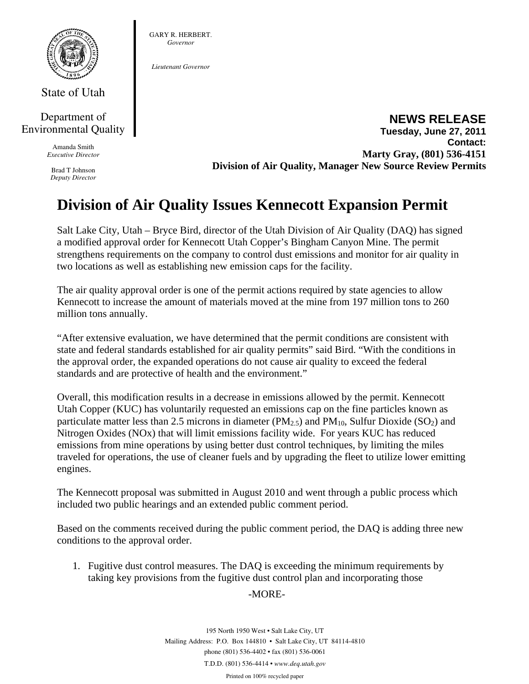

State of Utah

## Department of Environmental Quality

Amanda Smith *Executive Director* 

Brad T Johnson *Deputy Director*  GARY R. HERBERT. *Governor* 

*Lieutenant Governor* 

**NEWS RELEASE Tuesday, June 27, 2011 Contact: Marty Gray, (801) 536-4151 Division of Air Quality, Manager New Source Review Permits** 

## **Division of Air Quality Issues Kennecott Expansion Permit**

Salt Lake City, Utah – Bryce Bird, director of the Utah Division of Air Quality (DAQ) has signed a modified approval order for Kennecott Utah Copper's Bingham Canyon Mine. The permit strengthens requirements on the company to control dust emissions and monitor for air quality in two locations as well as establishing new emission caps for the facility.

The air quality approval order is one of the permit actions required by state agencies to allow Kennecott to increase the amount of materials moved at the mine from 197 million tons to 260 million tons annually.

"After extensive evaluation, we have determined that the permit conditions are consistent with state and federal standards established for air quality permits" said Bird. "With the conditions in the approval order, the expanded operations do not cause air quality to exceed the federal standards and are protective of health and the environment."

Overall, this modification results in a decrease in emissions allowed by the permit. Kennecott Utah Copper (KUC) has voluntarily requested an emissions cap on the fine particles known as particulate matter less than 2.5 microns in diameter ( $PM_{2.5}$ ) and  $PM_{10}$ , Sulfur Dioxide (SO<sub>2</sub>) and Nitrogen Oxides (NOx) that will limit emissions facility wide. For years KUC has reduced emissions from mine operations by using better dust control techniques, by limiting the miles traveled for operations, the use of cleaner fuels and by upgrading the fleet to utilize lower emitting engines.

The Kennecott proposal was submitted in August 2010 and went through a public process which included two public hearings and an extended public comment period.

Based on the comments received during the public comment period, the DAQ is adding three new conditions to the approval order.

1. Fugitive dust control measures. The DAQ is exceeding the minimum requirements by taking key provisions from the fugitive dust control plan and incorporating those

## -MORE-

195 North 1950 West • Salt Lake City, UT Mailing Address: P.O. Box 144810 • Salt Lake City, UT 84114-4810 phone (801) 536-4402 • fax (801) 536-0061 T.D.D. (801) 536-4414 • *www.deq.utah.gov* 

Printed on 100% recycled paper